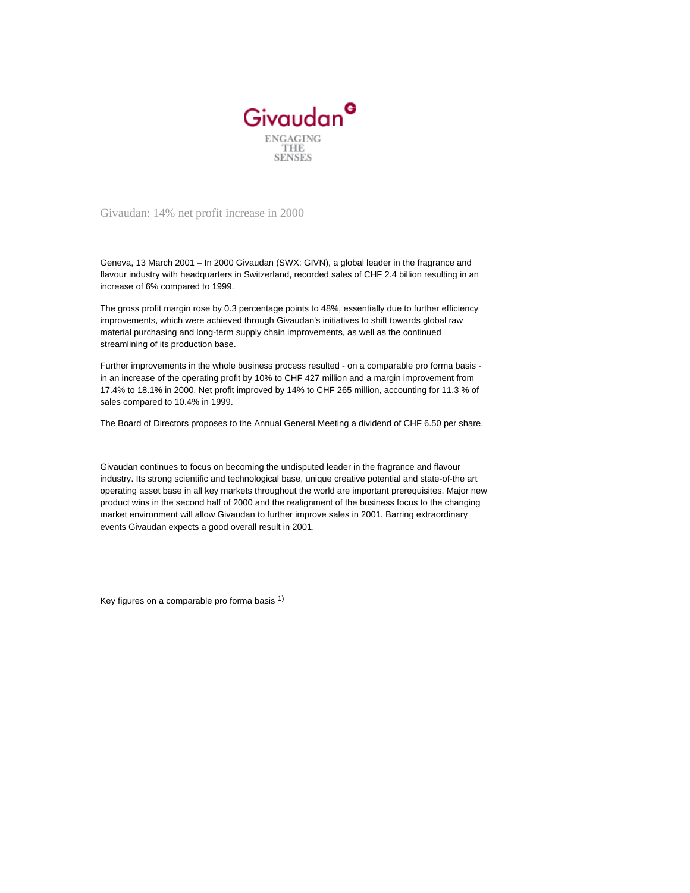

Givaudan: 14% net profit increase in 2000

Geneva, 13 March 2001 – In 2000 Givaudan (SWX: GIVN), a global leader in the fragrance and flavour industry with headquarters in Switzerland, recorded sales of CHF 2.4 billion resulting in an increase of 6% compared to 1999.

The gross profit margin rose by 0.3 percentage points to 48%, essentially due to further efficiency improvements, which were achieved through Givaudan's initiatives to shift towards global raw material purchasing and long-term supply chain improvements, as well as the continued streamlining of its production base.

Further improvements in the whole business process resulted - on a comparable pro forma basis in an increase of the operating profit by 10% to CHF 427 million and a margin improvement from 17.4% to 18.1% in 2000. Net profit improved by 14% to CHF 265 million, accounting for 11.3 % of sales compared to 10.4% in 1999.

The Board of Directors proposes to the Annual General Meeting a dividend of CHF 6.50 per share.

Givaudan continues to focus on becoming the undisputed leader in the fragrance and flavour industry. Its strong scientific and technological base, unique creative potential and state-of-the art operating asset base in all key markets throughout the world are important prerequisites. Major new product wins in the second half of 2000 and the realignment of the business focus to the changing market environment will allow Givaudan to further improve sales in 2001. Barring extraordinary events Givaudan expects a good overall result in 2001.

Key figures on a comparable pro forma basis  $1$ )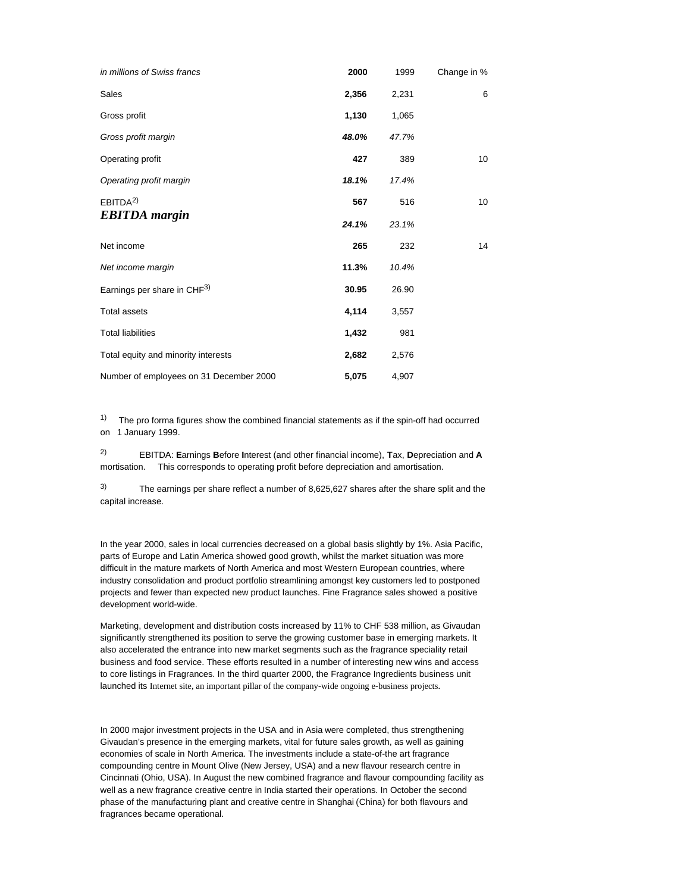| in millions of Swiss francs                 | 2000  | 1999  | Change in %      |
|---------------------------------------------|-------|-------|------------------|
| Sales                                       | 2,356 | 2,231 | 6                |
| Gross profit                                | 1,130 | 1,065 |                  |
| Gross profit margin                         | 48.0% | 47.7% |                  |
| Operating profit                            | 427   | 389   | 10 <sup>10</sup> |
| Operating profit margin                     | 18.1% | 17.4% |                  |
| EBITDA <sup>2</sup><br><b>EBITDA</b> margin | 567   | 516   | 10               |
|                                             | 24.1% | 23.1% |                  |
| Net income                                  | 265   | 232   | 14               |
| Net income margin                           | 11.3% | 10.4% |                  |
| Earnings per share in CHF3)                 | 30.95 | 26.90 |                  |
| <b>Total assets</b>                         | 4,114 | 3,557 |                  |
| <b>Total liabilities</b>                    | 1,432 | 981   |                  |
| Total equity and minority interests         | 2,682 | 2,576 |                  |
| Number of employees on 31 December 2000     | 5,075 | 4,907 |                  |

 $1)$  The pro forma figures show the combined financial statements as if the spin-off had occurred on 1 January 1999.

2) EBITDA: **E**arnings **B**efore **I**nterest (and other financial income), **T**ax, **D**epreciation and **A** mortisation. This corresponds to operating profit before depreciation and amortisation.

3) The earnings per share reflect a number of 8,625,627 shares after the share split and the capital increase.

In the year 2000, sales in local currencies decreased on a global basis slightly by 1%. Asia Pacific, parts of Europe and Latin America showed good growth, whilst the market situation was more difficult in the mature markets of North America and most Western European countries, where industry consolidation and product portfolio streamlining amongst key customers led to postponed projects and fewer than expected new product launches. Fine Fragrance sales showed a positive development world-wide.

Marketing, development and distribution costs increased by 11% to CHF 538 million, as Givaudan significantly strengthened its position to serve the growing customer base in emerging markets. It also accelerated the entrance into new market segments such as the fragrance speciality retail business and food service. These efforts resulted in a number of interesting new wins and access to core listings in Fragrances. In the third quarter 2000, the Fragrance Ingredients business unit launched its Internet site, an important pillar of the company-wide ongoing e-business projects.

In 2000 major investment projects in the USA and in Asia were completed, thus strengthening Givaudan's presence in the emerging markets, vital for future sales growth, as well as gaining economies of scale in North America. The investments include a state-of-the art fragrance compounding centre in Mount Olive (New Jersey, USA) and a new flavour research centre in Cincinnati (Ohio, USA). In August the new combined fragrance and flavour compounding facility as well as a new fragrance creative centre in India started their operations. In October the second phase of the manufacturing plant and creative centre in Shanghai (China) for both flavours and fragrances became operational.